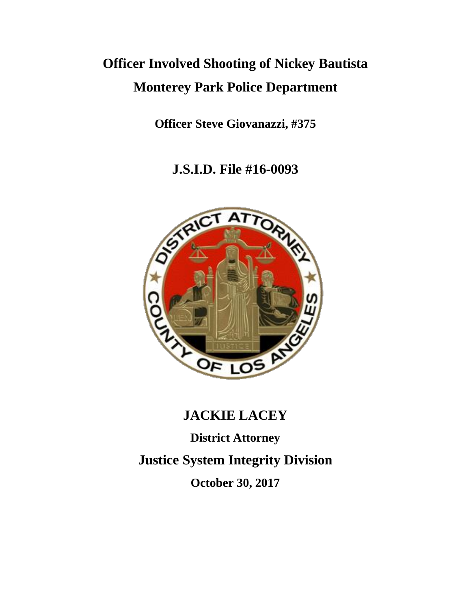# **Officer Involved Shooting of Nickey Bautista Monterey Park Police Department**

**Officer Steve Giovanazzi, #375**

**J.S.I.D. File #16-0093**



# **JACKIE LACEY**

**District Attorney Justice System Integrity Division October 30, 2017**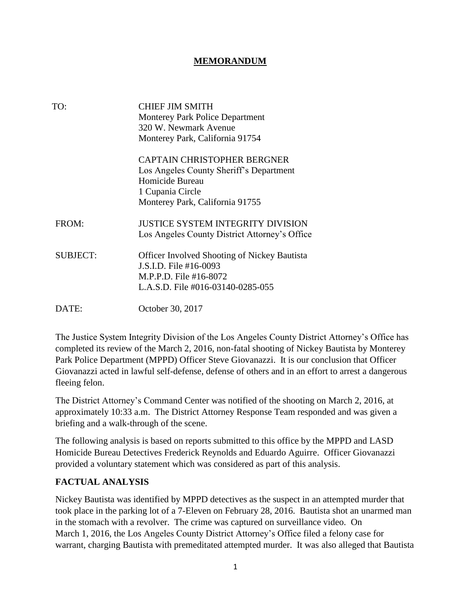#### **MEMORANDUM**

| TO:             | <b>CHIEF JIM SMITH</b><br><b>Monterey Park Police Department</b><br>320 W. Newmark Avenue<br>Monterey Park, California 91754                            |
|-----------------|---------------------------------------------------------------------------------------------------------------------------------------------------------|
|                 | <b>CAPTAIN CHRISTOPHER BERGNER</b><br>Los Angeles County Sheriff's Department<br>Homicide Bureau<br>1 Cupania Circle<br>Monterey Park, California 91755 |
| FROM:           | <b>JUSTICE SYSTEM INTEGRITY DIVISION</b><br>Los Angeles County District Attorney's Office                                                               |
| <b>SUBJECT:</b> | <b>Officer Involved Shooting of Nickey Bautista</b><br>J.S.I.D. File #16-0093<br>M.P.P.D. File #16-8072<br>L.A.S.D. File #016-03140-0285-055            |
| DATE:           | October 30, 2017                                                                                                                                        |

The Justice System Integrity Division of the Los Angeles County District Attorney's Office has completed its review of the March 2, 2016, non-fatal shooting of Nickey Bautista by Monterey Park Police Department (MPPD) Officer Steve Giovanazzi. It is our conclusion that Officer Giovanazzi acted in lawful self-defense, defense of others and in an effort to arrest a dangerous fleeing felon.

The District Attorney's Command Center was notified of the shooting on March 2, 2016, at approximately 10:33 a.m. The District Attorney Response Team responded and was given a briefing and a walk-through of the scene.

The following analysis is based on reports submitted to this office by the MPPD and LASD Homicide Bureau Detectives Frederick Reynolds and Eduardo Aguirre. Officer Giovanazzi provided a voluntary statement which was considered as part of this analysis.

#### **FACTUAL ANALYSIS**

Nickey Bautista was identified by MPPD detectives as the suspect in an attempted murder that took place in the parking lot of a 7-Eleven on February 28, 2016. Bautista shot an unarmed man in the stomach with a revolver. The crime was captured on surveillance video. On March 1, 2016, the Los Angeles County District Attorney's Office filed a felony case for warrant, charging Bautista with premeditated attempted murder. It was also alleged that Bautista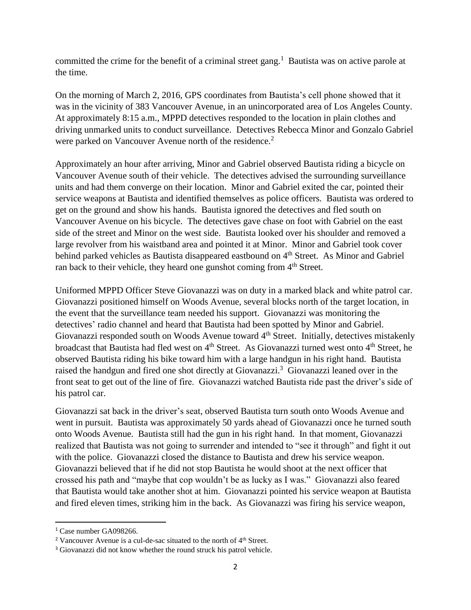committed the crime for the benefit of a criminal street gang.<sup>1</sup> Bautista was on active parole at the time.

On the morning of March 2, 2016, GPS coordinates from Bautista's cell phone showed that it was in the vicinity of 383 Vancouver Avenue, in an unincorporated area of Los Angeles County. At approximately 8:15 a.m., MPPD detectives responded to the location in plain clothes and driving unmarked units to conduct surveillance. Detectives Rebecca Minor and Gonzalo Gabriel were parked on Vancouver Avenue north of the residence.<sup>2</sup>

Approximately an hour after arriving, Minor and Gabriel observed Bautista riding a bicycle on Vancouver Avenue south of their vehicle. The detectives advised the surrounding surveillance units and had them converge on their location. Minor and Gabriel exited the car, pointed their service weapons at Bautista and identified themselves as police officers. Bautista was ordered to get on the ground and show his hands. Bautista ignored the detectives and fled south on Vancouver Avenue on his bicycle. The detectives gave chase on foot with Gabriel on the east side of the street and Minor on the west side. Bautista looked over his shoulder and removed a large revolver from his waistband area and pointed it at Minor. Minor and Gabriel took cover behind parked vehicles as Bautista disappeared eastbound on 4<sup>th</sup> Street. As Minor and Gabriel ran back to their vehicle, they heard one gunshot coming from 4<sup>th</sup> Street.

Uniformed MPPD Officer Steve Giovanazzi was on duty in a marked black and white patrol car. Giovanazzi positioned himself on Woods Avenue, several blocks north of the target location, in the event that the surveillance team needed his support. Giovanazzi was monitoring the detectives' radio channel and heard that Bautista had been spotted by Minor and Gabriel. Giovanazzi responded south on Woods Avenue toward 4<sup>th</sup> Street. Initially, detectives mistakenly broadcast that Bautista had fled west on 4<sup>th</sup> Street. As Giovanazzi turned west onto 4<sup>th</sup> Street, he observed Bautista riding his bike toward him with a large handgun in his right hand. Bautista raised the handgun and fired one shot directly at Giovanazzi.<sup>3</sup> Giovanazzi leaned over in the front seat to get out of the line of fire. Giovanazzi watched Bautista ride past the driver's side of his patrol car.

Giovanazzi sat back in the driver's seat, observed Bautista turn south onto Woods Avenue and went in pursuit. Bautista was approximately 50 yards ahead of Giovanazzi once he turned south onto Woods Avenue. Bautista still had the gun in his right hand. In that moment, Giovanazzi realized that Bautista was not going to surrender and intended to "see it through" and fight it out with the police. Giovanazzi closed the distance to Bautista and drew his service weapon. Giovanazzi believed that if he did not stop Bautista he would shoot at the next officer that crossed his path and "maybe that cop wouldn't be as lucky as I was." Giovanazzi also feared that Bautista would take another shot at him. Giovanazzi pointed his service weapon at Bautista and fired eleven times, striking him in the back. As Giovanazzi was firing his service weapon,

 $\overline{\phantom{a}}$ 

<sup>&</sup>lt;sup>1</sup> Case number GA098266.

<sup>&</sup>lt;sup>2</sup> Vancouver Avenue is a cul-de-sac situated to the north of  $4<sup>th</sup>$  Street.

<sup>&</sup>lt;sup>3</sup> Giovanazzi did not know whether the round struck his patrol vehicle.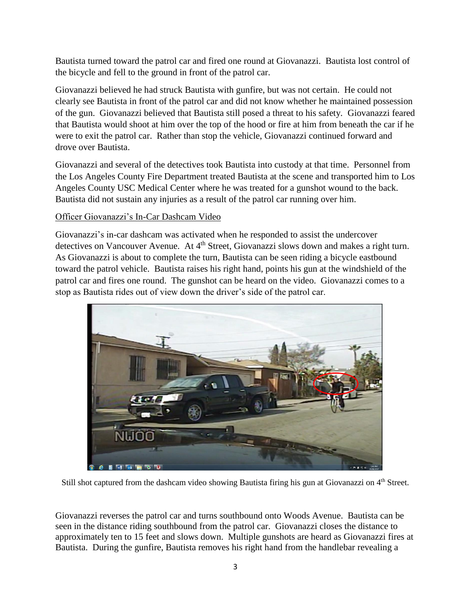Bautista turned toward the patrol car and fired one round at Giovanazzi. Bautista lost control of the bicycle and fell to the ground in front of the patrol car.

Giovanazzi believed he had struck Bautista with gunfire, but was not certain. He could not clearly see Bautista in front of the patrol car and did not know whether he maintained possession of the gun. Giovanazzi believed that Bautista still posed a threat to his safety. Giovanazzi feared that Bautista would shoot at him over the top of the hood or fire at him from beneath the car if he were to exit the patrol car. Rather than stop the vehicle, Giovanazzi continued forward and drove over Bautista.

Giovanazzi and several of the detectives took Bautista into custody at that time. Personnel from the Los Angeles County Fire Department treated Bautista at the scene and transported him to Los Angeles County USC Medical Center where he was treated for a gunshot wound to the back. Bautista did not sustain any injuries as a result of the patrol car running over him.

#### Officer Giovanazzi's In-Car Dashcam Video

Giovanazzi's in-car dashcam was activated when he responded to assist the undercover detectives on Vancouver Avenue. At 4<sup>th</sup> Street, Giovanazzi slows down and makes a right turn. As Giovanazzi is about to complete the turn, Bautista can be seen riding a bicycle eastbound toward the patrol vehicle. Bautista raises his right hand, points his gun at the windshield of the patrol car and fires one round. The gunshot can be heard on the video. Giovanazzi comes to a stop as Bautista rides out of view down the driver's side of the patrol car.



Still shot captured from the dashcam video showing Bautista firing his gun at Giovanazzi on 4<sup>th</sup> Street.

Giovanazzi reverses the patrol car and turns southbound onto Woods Avenue. Bautista can be seen in the distance riding southbound from the patrol car. Giovanazzi closes the distance to approximately ten to 15 feet and slows down. Multiple gunshots are heard as Giovanazzi fires at Bautista. During the gunfire, Bautista removes his right hand from the handlebar revealing a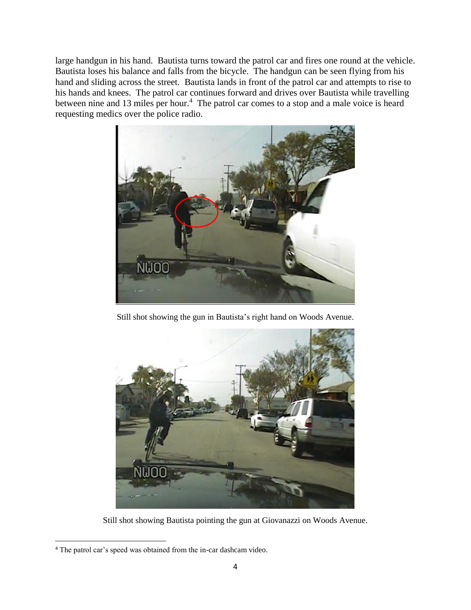large handgun in his hand. Bautista turns toward the patrol car and fires one round at the vehicle. Bautista loses his balance and falls from the bicycle. The handgun can be seen flying from his hand and sliding across the street. Bautista lands in front of the patrol car and attempts to rise to his hands and knees. The patrol car continues forward and drives over Bautista while travelling between nine and 13 miles per hour.<sup>4</sup> The patrol car comes to a stop and a male voice is heard requesting medics over the police radio.



Still shot showing the gun in Bautista's right hand on Woods Avenue.



Still shot showing Bautista pointing the gun at Giovanazzi on Woods Avenue.

 $\overline{\phantom{a}}$ <sup>4</sup> The patrol car's speed was obtained from the in-car dashcam video.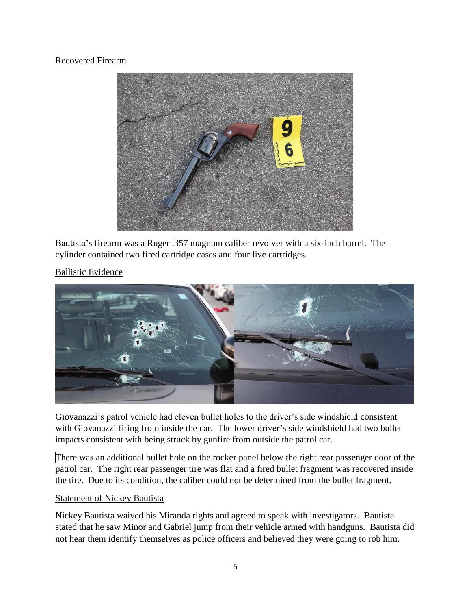#### Recovered Firearm



Bautista's firearm was a Ruger .357 magnum caliber revolver with a six-inch barrel. The cylinder contained two fired cartridge cases and four live cartridges.

### Ballistic Evidence



Giovanazzi's patrol vehicle had eleven bullet holes to the driver's side windshield consistent with Giovanazzi firing from inside the car. The lower driver's side windshield had two bullet impacts consistent with being struck by gunfire from outside the patrol car.

There was an additional bullet hole on the rocker panel below the right rear passenger door of the patrol car. The right rear passenger tire was flat and a fired bullet fragment was recovered inside the tire. Due to its condition, the caliber could not be determined from the bullet fragment.

#### Statement of Nickey Bautista

Nickey Bautista waived his Miranda rights and agreed to speak with investigators. Bautista stated that he saw Minor and Gabriel jump from their vehicle armed with handguns. Bautista did not hear them identify themselves as police officers and believed they were going to rob him.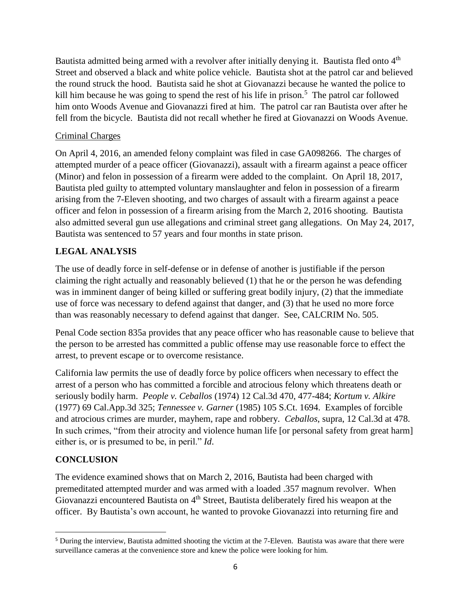Bautista admitted being armed with a revolver after initially denying it. Bautista fled onto 4<sup>th</sup> Street and observed a black and white police vehicle. Bautista shot at the patrol car and believed the round struck the hood. Bautista said he shot at Giovanazzi because he wanted the police to kill him because he was going to spend the rest of his life in prison.<sup>5</sup> The patrol car followed him onto Woods Avenue and Giovanazzi fired at him. The patrol car ran Bautista over after he fell from the bicycle. Bautista did not recall whether he fired at Giovanazzi on Woods Avenue.

#### Criminal Charges

On April 4, 2016, an amended felony complaint was filed in case GA098266. The charges of attempted murder of a peace officer (Giovanazzi), assault with a firearm against a peace officer (Minor) and felon in possession of a firearm were added to the complaint. On April 18, 2017, Bautista pled guilty to attempted voluntary manslaughter and felon in possession of a firearm arising from the 7-Eleven shooting, and two charges of assault with a firearm against a peace officer and felon in possession of a firearm arising from the March 2, 2016 shooting. Bautista also admitted several gun use allegations and criminal street gang allegations. On May 24, 2017, Bautista was sentenced to 57 years and four months in state prison.

# **LEGAL ANALYSIS**

The use of deadly force in self-defense or in defense of another is justifiable if the person claiming the right actually and reasonably believed (1) that he or the person he was defending was in imminent danger of being killed or suffering great bodily injury, (2) that the immediate use of force was necessary to defend against that danger, and (3) that he used no more force than was reasonably necessary to defend against that danger. See, CALCRIM No. 505.

Penal Code section 835a provides that any peace officer who has reasonable cause to believe that the person to be arrested has committed a public offense may use reasonable force to effect the arrest, to prevent escape or to overcome resistance.

California law permits the use of deadly force by police officers when necessary to effect the arrest of a person who has committed a forcible and atrocious felony which threatens death or seriously bodily harm. *People v. Ceballos* (1974) 12 Cal.3d 470, 477-484; *Kortum v. Alkire*  (1977) 69 Cal.App.3d 325; *Tennessee v. Garner* (1985) 105 S.Ct. 1694. Examples of forcible and atrocious crimes are murder, mayhem, rape and robbery. *Ceballos*, supra, 12 Cal.3d at 478. In such crimes, "from their atrocity and violence human life [or personal safety from great harm] either is, or is presumed to be, in peril." *Id*.

# **CONCLUSION**

The evidence examined shows that on March 2, 2016, Bautista had been charged with premeditated attempted murder and was armed with a loaded .357 magnum revolver. When Giovanazzi encountered Bautista on 4<sup>th</sup> Street, Bautista deliberately fired his weapon at the officer. By Bautista's own account, he wanted to provoke Giovanazzi into returning fire and

l <sup>5</sup> During the interview, Bautista admitted shooting the victim at the 7-Eleven. Bautista was aware that there were surveillance cameras at the convenience store and knew the police were looking for him.